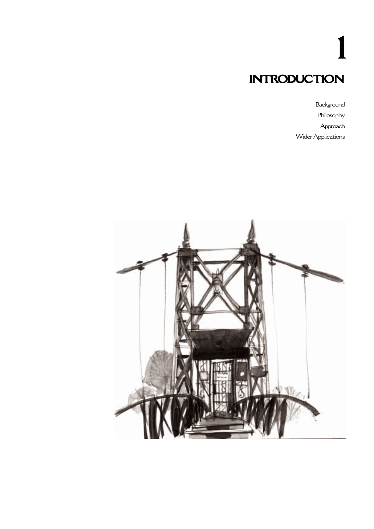# **INTRODUCTION 1**

Background Philosophy Approach Wider Applications

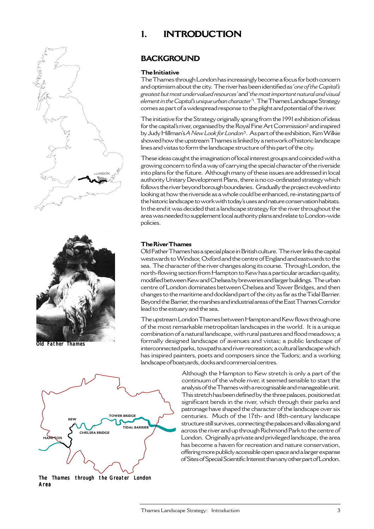# **1. INTRODUCTION**





Old Father Thames

# **BACKGROUND**

#### **The Initiative**

The Thames through London has increasingly become a focus for both concern and optimism about the city. The river has been identified as '*one of the Capital's greatest but most undervalued resources'* and '*the most important natural and visual element in the Capital's unique urban character'*<sup>1</sup> . The Thames Landscape Strategy comes as part of a widespread response to the plight and potential of the river.

The initiative for the Strategy originally sprang from the 1991 exhibition of ideas for the capital's river, organised by the Royal Fine Art Commission<sup>2</sup> and inspired by Judy Hillman's *A New Look for London*3. As part of the exhibition, Kim Wilkie showed how the upstream Thames is linked by a network of historic landscape lines and vistas to form the landscape structure of this part of the city.

These ideas caught the imagination of local interest groups and coincided with a growing concern to find a way of carrying the special character of the riverside into plans for the future. Although many of these issues are addressed in local authority Unitary Development Plans, there is no co-ordinated strategy which follows the river beyond borough boundaries. Gradually the project evolved into looking at how the riverside as a whole could be enhanced, re-instating parts of the historic landscape to work with today's uses and nature conservation habitats. In the end it was decided that a landscape strategy for the river throughout the area was needed to supplement local authority plans and relate to London-wide policies.

#### **The River Thames**

Old Father Thames has a special place in British culture. The river links the capital westwards to Windsor, Oxford and the centre of England and eastwards to the sea. The character of the river changes along its course. Through London, the north-flowing section from Hampton to Kew has a particular arcadian quality, modified between Kew and Chelsea by breweries and larger buildings. The urban centre of London dominates between Chelsea and Tower Bridges, and then changes to the maritime and dockland part of the city as far as the Tidal Barrier. Beyond the Barrier, the marshes and industrial areas of the East Thames Corridor lead to the estuary and the sea.

The upstream London Thames between Hampton and Kew flows through one of the most remarkable metropolitan landscapes in the world. It is a unique combination of a natural landscape, with rural pastures and flood meadows; a formally designed landscape of avenues and vistas; a public landscape of interconnected parks, towpaths and river recreation; a cultural landscape which has inspired painters, poets and composers since the Tudors; and a working landscape of boatyards, docks and commercial centres.



The Thames through the Greater London Area

Although the Hampton to Kew stretch is only a part of the continuum of the whole river, it seemed sensible to start the analysis of the Thames with a recognisable and manageable unit. This stretch has been defined by the three palaces, positioned at significant bends in the river, which through their parks and patronage have shaped the character of the landscape over six centuries. Much of the 17th- and 18th-century landscape structure still survives, connecting the palaces and villas along and across the river and up through Richmond Park to the centre of London. Originally a private and privileged landscape, the area has become a haven for recreation and nature conservation, offering more publicly accessible open space and a larger expanse of Sites of Special Scientific Interest than any other part of London.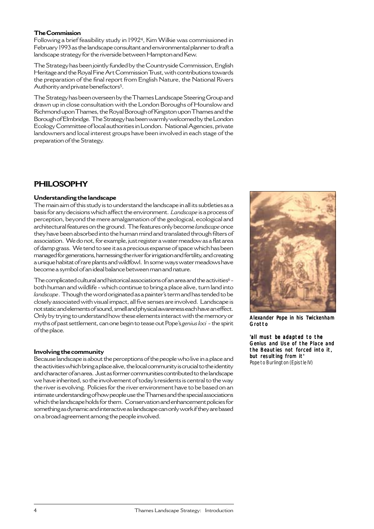#### **The Commission**

Following a brief feasibility study in 19924, Kim Wilkie was commissioned in February 1993 as the landscape consultant and environmental planner to draft a landscape strategy for the riverside between Hampton and Kew.

The Strategy has been jointly funded by the Countryside Commission, English Heritage and the Royal Fine Art Commission Trust, with contributions towards the preparation of the final report from English Nature, the National Rivers Authority and private benefactors<sup>5</sup>.

The Strategy has been overseen by the Thames Landscape Steering Group and drawn up in close consultation with the London Boroughs of Hounslow and Richmond upon Thames, the Royal Borough of Kingston upon Thames and the Borough of Elmbridge. The Strategy has been warmly welcomed by the London Ecology Committee of local authorities in London. National Agencies, private landowners and local interest groups have been involved in each stage of the preparation of the Strategy.

# **PHILOSOPHY**

#### **Understanding the landscape**

The main aim of this study is to understand the landscape in all its subtleties as a basis for any decisions which affect the environment. *Landscape* is a process of perception, beyond the mere amalgamation of the geological, ecological and architectural features on the ground. The features only become *landscape* once they have been absorbed into the human mind and translated through filters of association. We do not, for example, just register a water meadow as a flat area of damp grass. We tend to see it as a precious expanse of space which has been managed for generations, harnessing the river for irrigation and fertility, and creating a unique habitat of rare plants and wildfowl. In some ways water meadows have become a symbol of an ideal balance between man and nature.

The complicated cultural and historical associations of an area and the activities<sup>6</sup> both human and wildlife - which continue to bring a place alive, turn land into *landscape*. Though the word originated as a painter's term and has tended to be closely associated with visual impact, all five senses are involved. Landscape is not static and elements of sound, smell and physical awareness each have an effect. Only by trying to understand how these elements interact with the memory or myths of past settlement, can one begin to tease out Pope's *genius loci -* the spirit of the place.

#### **Involving the community**

Because landscape is about the perceptions of the people who live in a place and the activities which bring a place alive, the local community is crucial to the identity and character of an area. Just as former communities contributed to the landscape we have inherited, so the involvement of today's residents is central to the way the river is evolving. Policies for the river environment have to be based on an intimate understanding of how people use the Thames and the special associations which the landscape holds for them. Conservation and enhancement policies for something as dynamic and interactive as landscape can only work if they are based on a broad agreement among the people involved.



Alexander Pope in his Twickenham **Grotto** 

'all must be adapted to the Genius and Use of the Place and the Beauties not forced into it, but resulting from it' Pope to Burlington (Epistle IV)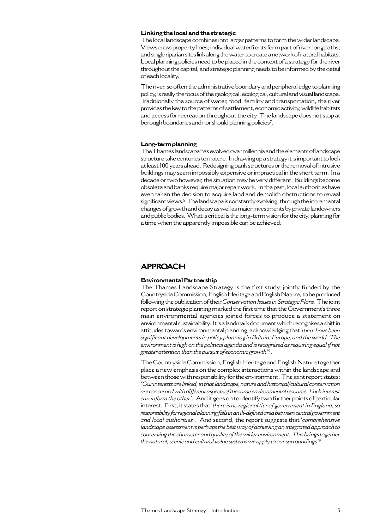#### **Linking the local and the strategic**

The local landscape combines into larger patterns to form the wider landscape. Views cross property lines; individual waterfronts form part of river-long paths; and single riparian sites link along the water to create a network of natural habitats. Local planning policies need to be placed in the context of a strategy for the river throughout the capital, and strategic planning needs to be informed by the detail of each locality.

The river, so often the administrative boundary and peripheral edge to planning policy, is really the focus of the geological, ecological, cultural and visual landscape. Traditionally the source of water, food, fertility and transportation, the river provides the key to the patterns of settlement, economic activity, wildlife habitats and access for recreation throughout the city. The landscape does not stop at borough boundaries and nor should planning policies7.

#### **Long-term planning**

The Thames landscape has evolved over millennia and the elements of landscape structure take centuries to mature. In drawing up a strategy it is important to look at least 100 years ahead. Redesigning bank structures or the removal of intrusive buildings may seem impossibly expensive or impractical in the short term. In a decade or two however, the situation may be very different. Buildings become obsolete and banks require major repair work. In the past, local authorities have even taken the decision to acquire land and demolish obstructions to reveal significant views.<sup>8</sup> The landscape is constantly evolving, through the incremental changes of growth and decay as well as major investments by private landowners and public bodies. What is critical is the long-term vision for the city, planning for a time when the apparently impossible can be achieved.

## **APPROACH**

#### **Environmental Partnership**

The Thames Landscape Strategy is the first study, jointly funded by the Countryside Commission, English Heritage and English Nature, to be produced following the publication of their *Conservation Issues in Strategic Plans.* The joint report on strategic planning marked the first time that the Government's three main environmental agencies joined forces to produce a statement on environmental sustainability. It is a landmark document which recognises a shift in attitudes towards environmental planning, acknowledging that '*there have been significant developments in policy planning in Britain, Europe, and the world. The environment is high on the political agenda and is recognised as requiring equal if not greater attention than the pursuit of economic growth'*9.

The Countryside Commission, English Heritage and English Nature together place a new emphasis on the complex interactions within the landscape and between those with responsibility for the environment. The joint report states: '*Our interests are linked, in that landscape, nature and historical/cultural conservation are concerned with different aspects of the same environmental resource. Each interest can inform the other'.* And it goes on to identify two further points of particular interest. First, it states that '*there is no regional tier of government in England, so responsibility for regional planning falls in an ill-defined area between central government and local authorities'.* And second, the report suggests that '*comprehensive landscape assessment is perhaps the best way of achieving an integrated approach to conserving the character and quality of the wider environment. This brings together the natural, scenic and cultural value systems we apply to our surroundings'*9*.*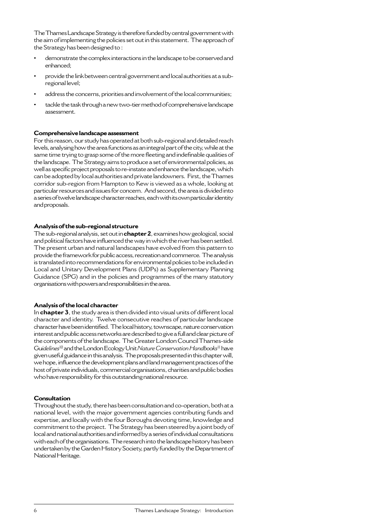The Thames Landscape Strategy is therefore funded by central government with the aim of implementing the policies set out in this statement. The approach of the Strategy has been designed to :

- **•** demonstrate the complex interactions in the landscape to be conserved and enhanced;
- **•** provide the link between central government and local authorities at a subregional level;
- **•** address the concerns, priorities and involvement of the local communities;
- **•** tackle the task through a new two-tier method of comprehensive landscape assessment.

#### **Comprehensive landscape assessment**

For this reason, our study has operated at both sub-regional and detailed reach levels, analysing how the area functions as an integral part of the city, while at the same time trying to grasp some of the more fleeting and indefinable qualities of the landscape. The Strategy aims to produce a set of environmental policies, as well as specific project proposals to re-instate and enhance the landscape, which can be adopted by local authorities and private landowners. First, the Thames corridor sub-region from Hampton to Kew is viewed as a whole, looking at particular resources and issues for concern. And second, the area is divided into a series of twelve landscape character reaches, each with its own particular identity and proposals.

#### **Analysis of the sub-regional structure**

The sub-regional analysis, set out in **chapter 2**, examines how geological, social and political factors have influenced the way in which the river has been settled. The present urban and natural landscapes have evolved from this pattern to provide the framework for public access, recreation and commerce. The analysis is translated into recommendations for environmental policies to be included in Local and Unitary Development Plans (UDPs) as Supplementary Planning Guidance (SPG) and in the policies and programmes of the many statutory organisations with powers and responsibilities in the area.

#### **Analysis of the local character**

In **chapter 3**, the study area is then divided into visual units of different local character and identity. Twelve consecutive reaches of particular landscape character have been identified. The local history, townscape, nature conservation interest and public access networks are described to give a full and clear picture of the components of the landscape. The Greater London Council Thames-side Gu*idelines*10 and the London Ecology Unit *Nature Conservation Handbooks*11 have given useful guidance in this analysis. The proposals presented in this chapter will, we hope, influence the development plans and land management practices of the host of private individuals, commercial organisations, charities and public bodies who have responsibility for this outstanding national resource.

### **Consultation**

Throughout the study, there has been consultation and co-operation, both at a national level, with the major government agencies contributing funds and expertise, and locally with the four Boroughs devoting time, knowledge and commitment to the project. The Strategy has been steered by a joint body of local and national authorities and informed by a series of individual consultations with each of the organisations. The research into the landscape history has been undertaken by the Garden History Society, partly funded by the Department of National Heritage.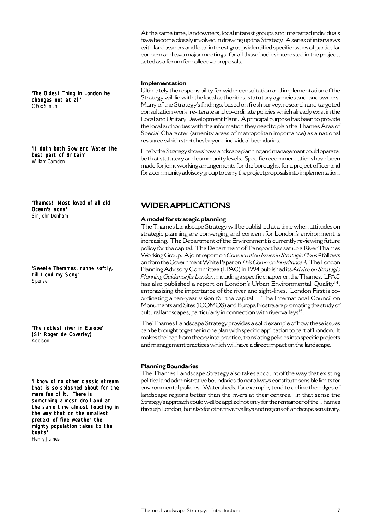At the same time, landowners, local interest groups and interested individuals have become closely involved in drawing up the Strategy. A series of interviews with landowners and local interest groups identified specific issues of particular concern and two major meetings, for all those bodies interested in the project, acted as a forum for collective proposals.

#### **Implementation**

Ultimately the responsibility for wider consultation and implementation of the Strategy will lie with the local authorities, statutory agencies and landowners. Many of the Strategy's findings, based on fresh survey, research and targeted consultation work, re-iterate and co-ordinate policies which already exist in the Local and Unitary Development Plans. A principal purpose has been to provide the local authorities with the information they need to plan the Thames Area of Special Character (amenity areas of metropolitan importance) as a national resource which stretches beyond individual boundaries.

Finally the Strategy shows how landscape planning and management could operate, both at statutory and community levels. Specific recommendations have been made for joint working arrangements for the boroughs, for a project officer and for a community advisory group to carry the project proposals into implementation.

'Thames! Most loved of all old Ocean's sons' Sir John Denham

'It doth both Sow and Water the

'The Oldest Thing in London he

changes not at all'

best part of Britain' William Camden

C Fox Smith

'Sweete Themmes, runne softly, till I end my Song' Spenser

'The noblest river in Europe' (Sir Roger de Coverley) Addison

'I know of no other classic stream that is so splashed about for the mere fun of it. There is something almost droll and at the same time almost touching in the way that on the smallest pretext of fine weather the mighty population takes to the boats'

Henry James

## **WIDER APPLICATIONS**

#### **A model for strategic planning**

The Thames Landscape Strategy will be published at a time when attitudes on strategic planning are converging and concern for London's environment is increasing. The Department of the Environment is currently reviewing future policy for the capital. The Department of Transport has set up a River Thames Working Group. A joint report on *Conservation Issues in Strategic Plans*<sup>12</sup> follows on from the Government White Paper on *This Common Inheritance*13*.* The London Planning Advisory Committee (LPAC) in 1994 published its *Advice on Strategic Planning Guidance for London*, including a specific chapter on the Thames. LPAC has also published a report on London's Urban Environmental Quality<sup>14</sup>, emphasising the importance of the river and sight-lines. London First is coordinating a ten-year vision for the capital. The International Council on Monuments and Sites (ICOMOS) and Europa Nostra are promoting the study of cultural landscapes, particularly in connection with river valleys<sup>15</sup>.

The Thames Landscape Strategy provides a solid example of how these issues can be brought together in one plan with specific application to part of London. It makes the leap from theory into practice, translating policies into specific projects and management practices which will have a direct impact on the landscape.

#### **Planning Boundaries**

The Thames Landscape Strategy also takes account of the way that existing political and administrative boundaries do not always constitute sensible limits for environmental policies. Watersheds, for example, tend to define the edges of landscape regions better than the rivers at their centres. In that sense the Strategy's approach could well be applied not only for the remainder of the Thames through London, but also for other river valleys and regions of landscape sensitivity.